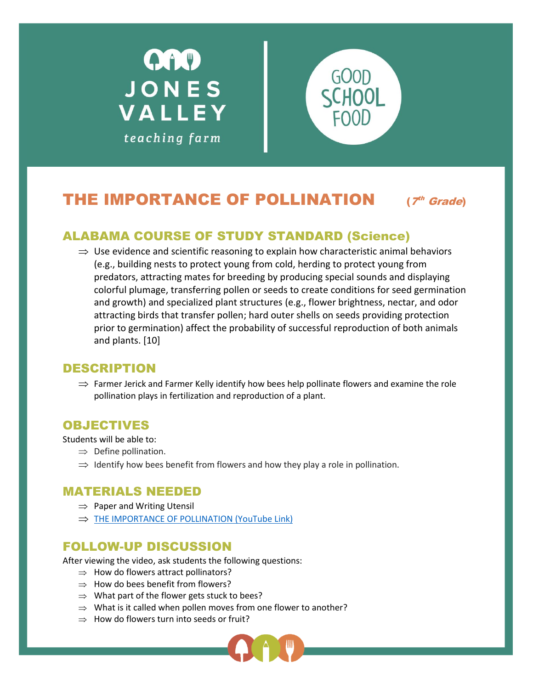



# THE IMPORTANCE OF POLLINATION

 $17<sup>th</sup>$  Grade)

## ALABAMA COURSE OF STUDY STANDARD (Science)

 $\Rightarrow$  Use evidence and scientific reasoning to explain how characteristic animal behaviors (e.g., building nests to protect young from cold, herding to protect young from predators, attracting mates for breeding by producing special sounds and displaying colorful plumage, transferring pollen or seeds to create conditions for seed germination and growth) and specialized plant structures (e.g., flower brightness, nectar, and odor attracting birds that transfer pollen; hard outer shells on seeds providing protection prior to germination) affect the probability of successful reproduction of both animals and plants. [10]

### DESCRIPTION

 $\Rightarrow$  Farmer Jerick and Farmer Kelly identify how bees help pollinate flowers and examine the role pollination plays in fertilization and reproduction of a plant.

### OBJECTIVES

Students will be able to:

- $\Rightarrow$  Define pollination.
- $\Rightarrow$  Identify how bees benefit from flowers and how they play a role in pollination.

### MATERIALS NEEDED

- $\Rightarrow$  Paper and Writing Utensil
- $\Rightarrow$  THE [IMPORTANCE OF POLLINATION \(YouTube Link\)](https://youtu.be/DXv9B0qZ1Q0)

### FOLLOW-UP DISCUSSION

After viewing the video, ask students the following questions:

- $\Rightarrow$  How do flowers attract pollinators?
- $\Rightarrow$  How do bees benefit from flowers?
- $\Rightarrow$  What part of the flower gets stuck to bees?
- $\Rightarrow$  What is it called when pollen moves from one flower to another?
- $\Rightarrow$  How do flowers turn into seeds or fruit?